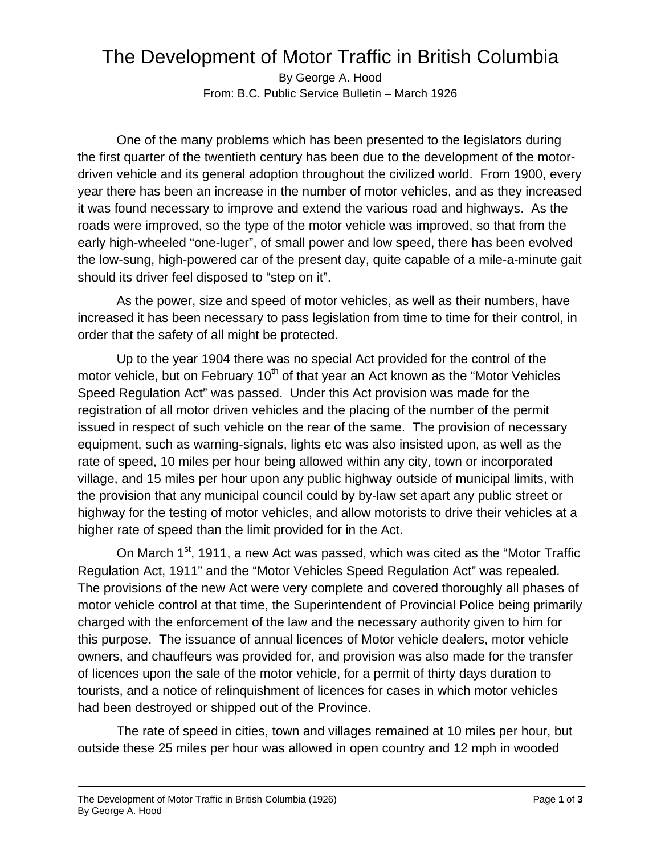## The Development of Motor Traffic in British Columbia

By George A. Hood From: B.C. Public Service Bulletin – March 1926

One of the many problems which has been presented to the legislators during the first quarter of the twentieth century has been due to the development of the motordriven vehicle and its general adoption throughout the civilized world. From 1900, every year there has been an increase in the number of motor vehicles, and as they increased it was found necessary to improve and extend the various road and highways. As the roads were improved, so the type of the motor vehicle was improved, so that from the early high-wheeled "one-luger", of small power and low speed, there has been evolved the low-sung, high-powered car of the present day, quite capable of a mile-a-minute gait should its driver feel disposed to "step on it".

As the power, size and speed of motor vehicles, as well as their numbers, have increased it has been necessary to pass legislation from time to time for their control, in order that the safety of all might be protected.

Up to the year 1904 there was no special Act provided for the control of the motor vehicle, but on February  $10<sup>th</sup>$  of that year an Act known as the "Motor Vehicles" Speed Regulation Act" was passed. Under this Act provision was made for the registration of all motor driven vehicles and the placing of the number of the permit issued in respect of such vehicle on the rear of the same. The provision of necessary equipment, such as warning-signals, lights etc was also insisted upon, as well as the rate of speed, 10 miles per hour being allowed within any city, town or incorporated village, and 15 miles per hour upon any public highway outside of municipal limits, with the provision that any municipal council could by by-law set apart any public street or highway for the testing of motor vehicles, and allow motorists to drive their vehicles at a higher rate of speed than the limit provided for in the Act.

On March 1<sup>st</sup>, 1911, a new Act was passed, which was cited as the "Motor Traffic Regulation Act, 1911" and the "Motor Vehicles Speed Regulation Act" was repealed. The provisions of the new Act were very complete and covered thoroughly all phases of motor vehicle control at that time, the Superintendent of Provincial Police being primarily charged with the enforcement of the law and the necessary authority given to him for this purpose. The issuance of annual licences of Motor vehicle dealers, motor vehicle owners, and chauffeurs was provided for, and provision was also made for the transfer of licences upon the sale of the motor vehicle, for a permit of thirty days duration to tourists, and a notice of relinquishment of licences for cases in which motor vehicles had been destroyed or shipped out of the Province.

The rate of speed in cities, town and villages remained at 10 miles per hour, but outside these 25 miles per hour was allowed in open country and 12 mph in wooded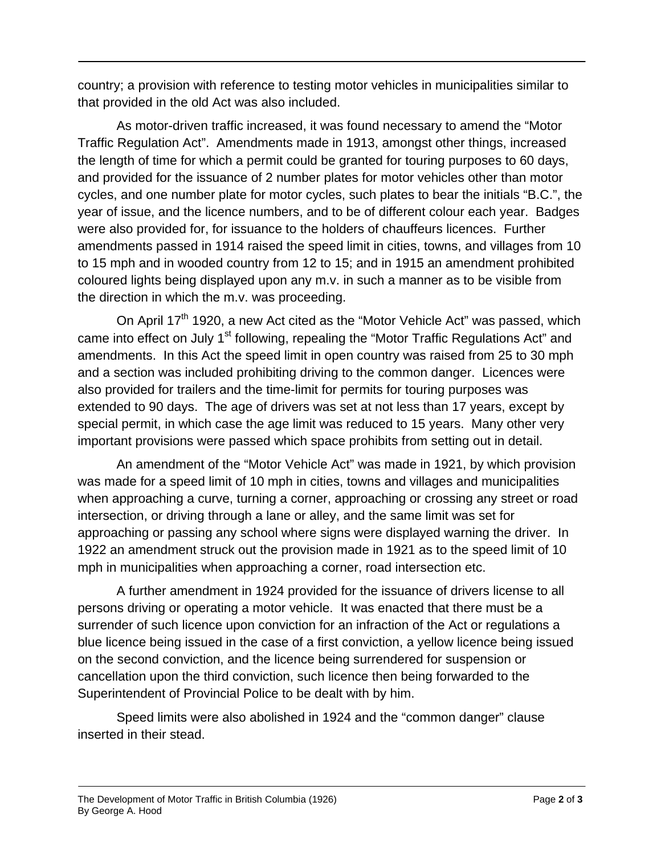country; a provision with reference to testing motor vehicles in municipalities similar to that provided in the old Act was also included.

As motor-driven traffic increased, it was found necessary to amend the "Motor Traffic Regulation Act". Amendments made in 1913, amongst other things, increased the length of time for which a permit could be granted for touring purposes to 60 days, and provided for the issuance of 2 number plates for motor vehicles other than motor cycles, and one number plate for motor cycles, such plates to bear the initials "B.C.", the year of issue, and the licence numbers, and to be of different colour each year. Badges were also provided for, for issuance to the holders of chauffeurs licences. Further amendments passed in 1914 raised the speed limit in cities, towns, and villages from 10 to 15 mph and in wooded country from 12 to 15; and in 1915 an amendment prohibited coloured lights being displayed upon any m.v. in such a manner as to be visible from the direction in which the m.v. was proceeding.

On April  $17<sup>th</sup>$  1920, a new Act cited as the "Motor Vehicle Act" was passed, which came into effect on July 1<sup>st</sup> following, repealing the "Motor Traffic Regulations Act" and amendments. In this Act the speed limit in open country was raised from 25 to 30 mph and a section was included prohibiting driving to the common danger. Licences were also provided for trailers and the time-limit for permits for touring purposes was extended to 90 days. The age of drivers was set at not less than 17 years, except by special permit, in which case the age limit was reduced to 15 years. Many other very important provisions were passed which space prohibits from setting out in detail.

An amendment of the "Motor Vehicle Act" was made in 1921, by which provision was made for a speed limit of 10 mph in cities, towns and villages and municipalities when approaching a curve, turning a corner, approaching or crossing any street or road intersection, or driving through a lane or alley, and the same limit was set for approaching or passing any school where signs were displayed warning the driver. In 1922 an amendment struck out the provision made in 1921 as to the speed limit of 10 mph in municipalities when approaching a corner, road intersection etc.

A further amendment in 1924 provided for the issuance of drivers license to all persons driving or operating a motor vehicle. It was enacted that there must be a surrender of such licence upon conviction for an infraction of the Act or regulations a blue licence being issued in the case of a first conviction, a yellow licence being issued on the second conviction, and the licence being surrendered for suspension or cancellation upon the third conviction, such licence then being forwarded to the Superintendent of Provincial Police to be dealt with by him.

Speed limits were also abolished in 1924 and the "common danger" clause inserted in their stead.